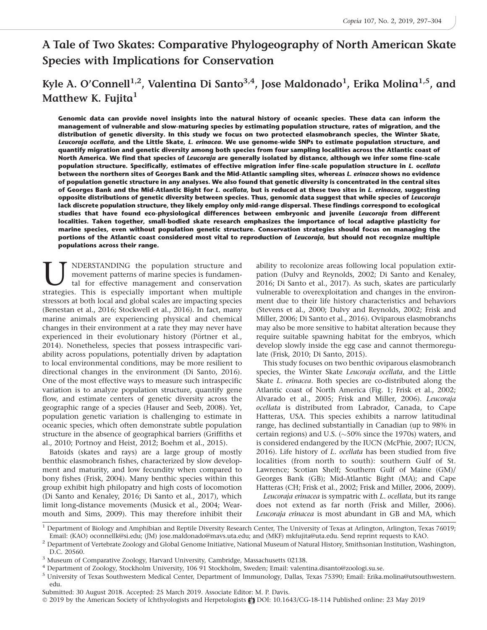# A Tale of Two Skates: Comparative Phylogeography of North American Skate Species with Implications for Conservation

# Kyle A. O'Connell<sup>1,2</sup>, Valentina Di Santo<sup>3,4</sup>, Jose Maldonado<sup>1</sup>, Erika Molina<sup>1,5</sup>, and Matthew K. Fujita $<sup>1</sup>$ </sup>

Genomic data can provide novel insights into the natural history of oceanic species. These data can inform the management of vulnerable and slow-maturing species by estimating population structure, rates of migration, and the distribution of genetic diversity. In this study we focus on two protected elasmobranch species, the Winter Skate, Leucoraja ocellata, and the Little Skate, L. erinacea. We use genome-wide SNPs to estimate population structure, and quantify migration and genetic diversity among both species from four sampling localities across the Atlantic coast of North America. We find that species of *Leucoraja* are generally isolated by distance, although we infer some fine-scale population structure. Specifically, estimates of effective migration infer fine-scale population structure in L. ocellata between the northern sites of Georges Bank and the Mid-Atlantic sampling sites, whereas L. erinacea shows no evidence of population genetic structure in any analyses. We also found that genetic diversity is concentrated in the central sites of Georges Bank and the Mid-Atlantic Bight for L. ocellata, but is reduced at these two sites in L. erinacea, suggesting opposite distributions of genetic diversity between species. Thus, genomic data suggest that while species of Leucoraja lack discrete population structure, they likely employ only mid-range dispersal. These findings correspond to ecological studies that have found eco-physiological differences between embryonic and juvenile *Leucoraja* from different localities. Taken together, small-bodied skate research emphasizes the importance of local adaptive plasticity for marine species, even without population genetic structure. Conservation strategies should focus on managing the portions of the Atlantic coast considered most vital to reproduction of Leucoraja, but should not recognize multiple populations across their range.

U NDERSTANDING the population structure and movement patterns of marine species is fundamental for effective management and conservation strategies. This is especially important when multiple movement patterns of marine species is fundamental for effective management and conservation strategies. This is especially important when multiple stressors at both local and global scales are impacting species (Benestan et al., 2016; Stockwell et al., 2016). In fact, many marine animals are experiencing physical and chemical changes in their environment at a rate they may never have experienced in their evolutionary history (Pörtner et al., 2014). Nonetheless, species that possess intraspecific variability across populations, potentially driven by adaptation to local environmental conditions, may be more resilient to directional changes in the environment (Di Santo, 2016). One of the most effective ways to measure such intraspecific variation is to analyze population structure, quantify gene flow, and estimate centers of genetic diversity across the geographic range of a species (Hauser and Seeb, 2008). Yet, population genetic variation is challenging to estimate in oceanic species, which often demonstrate subtle population structure in the absence of geographical barriers (Griffiths et al., 2010; Portnoy and Heist, 2012; Boehm et al., 2015).

Batoids (skates and rays) are a large group of mostly benthic elasmobranch fishes, characterized by slow development and maturity, and low fecundity when compared to bony fishes (Frisk, 2004). Many benthic species within this group exhibit high philopatry and high costs of locomotion (Di Santo and Kenaley, 2016; Di Santo et al., 2017), which limit long-distance movements (Musick et al., 2004; Wearmouth and Sims, 2009). This may therefore inhibit their ability to recolonize areas following local population extirpation (Dulvy and Reynolds, 2002; Di Santo and Kenaley, 2016; Di Santo et al., 2017). As such, skates are particularly vulnerable to overexploitation and changes in the environment due to their life history characteristics and behaviors (Stevens et al., 2000; Dulvy and Reynolds, 2002; Frisk and Miller, 2006; Di Santo et al., 2016). Oviparous elasmobranchs may also be more sensitive to habitat alteration because they require suitable spawning habitat for the embryos, which develop slowly inside the egg case and cannot thermoregulate (Frisk, 2010; Di Santo, 2015).

This study focuses on two benthic oviparous elasmobranch species, the Winter Skate Leucoraja ocellata, and the Little Skate L. erinacea. Both species are co-distributed along the Atlantic coast of North America (Fig. 1; Frisk et al., 2002; Alvarado et al., 2005; Frisk and Miller, 2006). Leucoraja ocellata is distributed from Labrador, Canada, to Cape Hatteras, USA. This species exhibits a narrow latitudinal range, has declined substantially in Canadian (up to 98% in certain regions) and U.S.  $(\sim 50\%$  since the 1970s) waters, and is considered endangered by the IUCN (McPhie, 2007; IUCN, 2016). Life history of L. ocellata has been studied from five localities (from north to south): southern Gulf of St. Lawrence; Scotian Shelf; Southern Gulf of Maine (GM)/ Georges Bank (GB); Mid-Atlantic Bight (MA); and Cape Hatteras (CH; Frisk et al., 2002; Frisk and Miller, 2006, 2009).

Leucoraja erinacea is sympatric with L. ocellata, but its range does not extend as far north (Frisk and Miller, 2006). Leucoraja erinacea is most abundant in GB and MA, which

Submitted: 30 August 2018. Accepted: 25 March 2019. Associate Editor: M. P. Davis. © 2019 by the American Society of Ichthyologists and Herpetologists ആ DOI: 10.1643/CG-18-114 Published online: 23 May 2019

<sup>&</sup>lt;sup>1</sup> Department of Biology and Amphibian and Reptile Diversity Research Center, The University of Texas at Arlington, Arlington, Texas 76019; Email: (KAO) oconnellk@si.edu; (JM) jose.maldonado@mavs.uta.edu; and (MKF) mkfujita@uta.edu. Send reprint requests to KAO.

 $<sup>2</sup>$  Department of Vertebrate Zoology and Global Genome Initiative, National Museum of Natural History, Smithsonian Institution, Washington,</sup> D.C. 20560.

<sup>3</sup> Museum of Comparative Zoology, Harvard University, Cambridge, Massachusetts 02138.

<sup>4</sup> Department of Zoology, Stockholm University, 106 91 Stockholm, Sweden; Email: valentina.disanto@zoologi.su.se.

<sup>5</sup> University of Texas Southwestern Medical Center, Department of Immunology, Dallas, Texas 75390; Email: Erika.molina@utsouthwestern. edu.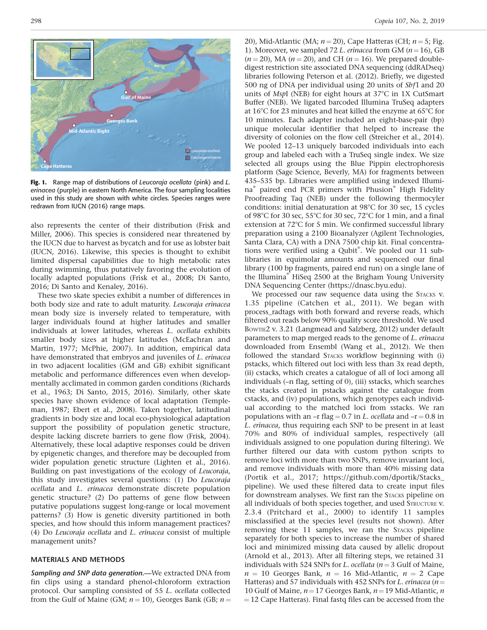

Fig. 1. Range map of distributions of Leucoraja ocellata (pink) and L. erinacea (purple) in eastern North America. The four sampling localities used in this study are shown with white circles. Species ranges were redrawn from IUCN (2016) range maps.

also represents the center of their distribution (Frisk and Miller, 2006). This species is considered near threatened by the IUCN due to harvest as bycatch and for use as lobster bait (IUCN, 2016). Likewise, this species is thought to exhibit limited dispersal capabilities due to high metabolic rates during swimming, thus putatively favoring the evolution of locally adapted populations (Frisk et al., 2008; Di Santo, 2016; Di Santo and Kenaley, 2016).

These two skate species exhibit a number of differences in both body size and rate to adult maturity. Leucoraja erinacea mean body size is inversely related to temperature, with larger individuals found at higher latitudes and smaller individuals at lower latitudes, whereas L. ocellata exhibits smaller body sizes at higher latitudes (McEachran and Martin, 1977; McPhie, 2007). In addition, empirical data have demonstrated that embryos and juveniles of *L. erinacea* in two adjacent localities (GM and GB) exhibit significant metabolic and performance differences even when developmentally acclimated in common garden conditions (Richards et al., 1963; Di Santo, 2015, 2016). Similarly, other skate species have shown evidence of local adaptation (Templeman, 1987; Ebert et al., 2008). Taken together, latitudinal gradients in body size and local eco-physiological adaptation support the possibility of population genetic structure, despite lacking discrete barriers to gene flow (Frisk, 2004). Alternatively, these local adaptive responses could be driven by epigenetic changes, and therefore may be decoupled from wider population genetic structure (Lighten et al., 2016). Building on past investigations of the ecology of Leucoraja, this study investigates several questions: (1) Do Leucoraja ocellata and L. erinacea demonstrate discrete population genetic structure? (2) Do patterns of gene flow between putative populations suggest long-range or local movement patterns? (3) How is genetic diversity partitioned in both species, and how should this inform management practices? (4) Do Leucoraja ocellata and L. erinacea consist of multiple management units?

#### MATERIALS AND METHODS

Sampling and SNP data generation.-We extracted DNA from fin clips using a standard phenol-chloroform extraction protocol. Our sampling consisted of 55 L. ocellata collected from the Gulf of Maine (GM;  $n = 10$ ), Georges Bank (GB;  $n =$ 

20), Mid-Atlantic (MA;  $n = 20$ ), Cape Hatteras (CH;  $n = 5$ ; Fig. 1). Moreover, we sampled 72 L. erinacea from GM ( $n=16$ ), GB  $(n = 20)$ , MA  $(n = 20)$ , and CH  $(n = 16)$ . We prepared doubledigest restriction site associated DNA sequencing (ddRADseq) libraries following Peterson et al. (2012). Briefly, we digested 500 ng of DNA per individual using 20 units of *Sbf*I and 20 units of MspI (NEB) for eight hours at  $37^{\circ}$ C in 1X CutSmart Buffer (NEB). We ligated barcoded Illumina TruSeq adapters at 16 $\degree$ C for 23 minutes and heat killed the enzyme at 65 $\degree$ C for 10 minutes. Each adapter included an eight-base-pair (bp) unique molecular identifier that helped to increase the diversity of colonies on the flow cell (Streicher et al., 2014). We pooled 12–13 uniquely barcoded individuals into each group and labeled each with a TruSeq single index. We size selected all groups using the Blue Pippin electrophoresis platform (Sage Science, Beverly, MA) for fragments between 435–535 bp. Libraries were amplified using indexed Illumina<sup>®</sup> paired end PCR primers with Phusion® High Fidelity Proofreading Taq (NEB) under the following thermocyler conditions: initial denaturation at  $98^{\circ}$ C for 30 sec, 15 cycles of 98 $\degree$ C for 30 sec, 55 $\degree$ C for 30 sec, 72 $\degree$ C for 1 min, and a final extension at  $72^{\circ}$ C for 5 min. We confirmed successful library preparation using a 2100 Bioanalyzer (Agilent Technologies, Santa Clara, CA) with a DNA 7500 chip kit. Final concentrations were verified using a Qubit®. We pooled our 11 sublibraries in equimolar amounts and sequenced our final library (100 bp fragments, paired end run) on a single lane of the Illumina<sup>®</sup> HiSeq 2500 at the Brigham Young University DNA Sequencing Center (https://dnasc.byu.edu).

We processed our raw sequence data using the STACKS v. 1.35 pipeline (Catchen et al., 2011). We began with process\_radtags with both forward and reverse reads, which filtered out reads below 90% quality score threshold. We used BOWTIE2 v. 3.21 (Langmead and Salzberg, 2012) under default parameters to map merged reads to the genome of L. erinacea downloaded from Ensembl (Wang et al., 2012). We then followed the standard STACKS workflow beginning with (i) pstacks, which filtered out loci with less than 3x read depth, (ii) cstacks, which creates a catalogue of all of loci among all individuals (–n flag, setting of 0), (iii) sstacks, which searches the stacks created in pstacks against the catalogue from cstacks, and (iv) populations, which genotypes each individual according to the matched loci from sstacks. We ran populations with an –r flag = 0.7 in L. ocellata and –r = 0.8 in L. erinacea, thus requiring each SNP to be present in at least 70% and 80% of individual samples, respectively (all individuals assigned to one population during filtering). We further filtered our data with custom python scripts to remove loci with more than two SNPs, remove invariant loci, and remove individuals with more than 40% missing data (Portik et al., 2017; https://github.com/dportik/Stacks\_ pipeline). We used these filtered data to create input files for downstream analyses. We first ran the STACKS pipeline on all individuals of both species together, and used STRUCTURE V. 2.3.4 (Pritchard et al., 2000) to identify 11 samples misclassified at the species level (results not shown). After removing these 11 samples, we ran the STACKS pipeline separately for both species to increase the number of shared loci and minimized missing data caused by allelic dropout (Arnold et al., 2013). After all filtering steps, we retained 31 individuals with 524 SNPs for L. ocellata ( $n = 3$  Gulf of Maine,  $n = 10$  Georges Bank,  $n = 16$  Mid-Atlantic,  $n = 2$  Cape Hatteras) and 57 individuals with 452 SNPs for L. erinacea ( $n=$ 10 Gulf of Maine,  $n=17$  Georges Bank,  $n=19$  Mid-Atlantic, n  $=$  12 Cape Hatteras). Final fastq files can be accessed from the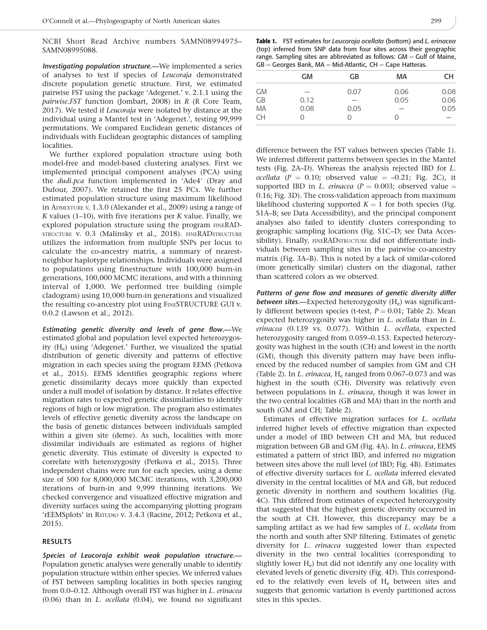NCBI Short Read Archive numbers SAMN08994975– SAMN08995088.

Investigating population structure.—We implemented a series of analyses to test if species of Leucoraja demonstrated discrete population genetic structure. First, we estimated pairwise FST using the package 'Adegenet.' v. 2.1.1 using the pairwise.FST function (Jombart, 2008) in R (R Core Team, 2017). We tested if Leucoraja were isolated by distance at the individual using a Mantel test in 'Adegenet.', testing 99,999 permutations. We compared Euclidean genetic distances of individuals with Euclidean geographic distances of sampling localities.

We further explored population structure using both model-free and model-based clustering analyses. First we implemented principal component analyses (PCA) using the *dudi.pca* function implemented in 'Ade4' (Dray and Dufour, 2007). We retained the first 25 PCs. We further estimated population structure using maximum likelihood in ADMIXTURE V. 1.3.0 (Alexander et al., 2009) using a range of K values  $(1-10)$ , with five iterations per K value. Finally, we explored population structure using the program FINERAD-STRUCTURE V. 0.3 (Malinsky et al., 2018). FINERADSTRUCTURE utilizes the information from multiple SNPs per locus to calculate the co-ancestry matrix, a summary of nearestneighbor haplotype relationships. Individuals were assigned to populations using finestructure with 100,000 burn-in generations, 100,000 MCMC iterations, and with a thinning interval of 1,000. We performed tree building (simple cladogram) using 10,000 burn-in generations and visualized the resulting co-ancestry plot using FINESTRUCTURE GUI v. 0.0.2 (Lawson et al., 2012).

Estimating genetic diversity and levels of gene flow.—We estimated global and population level expected heterozygosity (He) using 'Adegenet.' Further, we visualized the spatial distribution of genetic diversity and patterns of effective migration in each species using the program EEMS (Petkova et al., 2015). EEMS identifies geographic regions where genetic dissimilarity decays more quickly than expected under a null model of isolation by distance. It relates effective migration rates to expected genetic dissimilarities to identify regions of high or low migration. The program also estimates levels of effective genetic diversity across the landscape on the basis of genetic distances between individuals sampled within a given site (deme). As such, localities with more dissimilar individuals are estimated as regions of higher genetic diversity. This estimate of diversity is expected to correlate with heterozygosity (Petkova et al., 2015). Three independent chains were run for each species, using a deme size of 500 for 8,000,000 MCMC iterations, with 3,200,000 iterations of burn-in and 9,999 thinning iterations. We checked convergence and visualized effective migration and diversity surfaces using the accompanying plotting program 'rEEMSplots' in RSTUDIO v. 3.4.3 (Racine, 2012; Petkova et al., 2015).

### RESULTS

Species of Leucoraja exhibit weak population structure.— Population genetic analyses were generally unable to identify population structure within either species. We inferred values of FST between sampling localities in both species ranging from 0.0-0.12. Although overall FST was higher in L. erinacea (0.06) than in L. ocellata (0.04), we found no significant

|           | <b>GM</b> | GB   | МA   | CH   |
|-----------|-----------|------|------|------|
| <b>GM</b> |           | 0.07 | 0.06 | 0.08 |
| GB        | 0.12      |      | 0.05 | 0.06 |
| MA        | 0.08      | 0.05 |      | 0.05 |
| <b>CH</b> |           |      | 0    |      |
|           |           |      |      |      |

difference between the FST values between species (Table 1). We inferred different patterns between species in the Mantel tests (Fig. 2A–D). Whereas the analysis rejected IBD for L. ocellata ( $P = 0.10$ ; observed value  $= -0.21$ ; Fig. 2C), it supported IBD in L. erinacea ( $P = 0.003$ ; observed value = 0.16; Fig. 3D). The cross-validation approach from maximum likelihood clustering supported  $K = 1$  for both species (Fig. S1A–B; see Data Accessibility), and the principal component analyses also failed to identify clusters corresponding to geographic sampling locations (Fig. S1C–D; see Data Accessibility). Finally, FINERADSTRUCTURE did not differentiate individuals between sampling sites in the pairwise co-ancestry matrix (Fig. 3A–B). This is noted by a lack of similar-colored (more genetically similar) clusters on the diagonal, rather than scattered colors as we observed.

Patterns of gene flow and measures of genetic diversity differ between sites.—Expected heterozygosity  $(H_e)$  was significantly different between species (t-test,  $P = 0.01$ ; Table 2). Mean expected heterozygosity was higher in L. ocellata than in L. erinacea (0.139 vs. 0.077). Within L. ocellata, expected heterozygosity ranged from 0.059–0.153. Expected heterozygosity was highest in the south (CH) and lowest in the north (GM), though this diversity pattern may have been influenced by the reduced number of samples from GM and CH (Table 2). In L. erinacea,  $H_e$  ranged from 0.067–0.073 and was highest in the south (CH). Diversity was relatively even between populations in L. erinacea, though it was lower in the two central localities (GB and MA) than in the north and south (GM and CH; Table 2).

Estimates of effective migration surfaces for L. ocellata inferred higher levels of effective migration than expected under a model of IBD between CH and MA, but reduced migration between GB and GM (Fig. 4A). In L. erinacea, EEMS estimated a pattern of strict IBD, and inferred no migration between sites above the null level (of IBD; Fig. 4B). Estimates of effective diversity surfaces for L. ocellata inferred elevated diversity in the central localities of MA and GB, but reduced genetic diversity in northern and southern localities (Fig. 4C). This differed from estimates of expected heterozygosity that suggested that the highest genetic diversity occurred in the south at CH. However, this discrepancy may be a sampling artifact as we had few samples of L. ocellata from the north and south after SNP filtering. Estimates of genetic diversity for L. erinacea suggested lower than expected diversity in the two central localities (corresponding to slightly lower H<sub>e</sub>) but did not identify any one locality with elevated levels of genetic diversity (Fig. 4D). This corresponded to the relatively even levels of  $H_e$  between sites and suggests that genomic variation is evenly partitioned across sites in this species.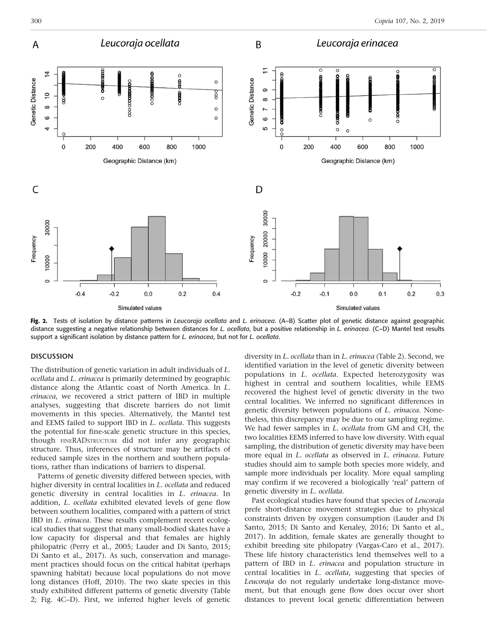

Fig. 2. Tests of isolation by distance patterns in Leucoraja ocellata and L. erinacea. (A–B) Scatter plot of genetic distance against geographic distance suggesting a negative relationship between distances for L. ocellata, but a positive relationship in L. erinacea. (C–D) Mantel test results support a significant isolation by distance pattern for L. erinacea, but not for L. ocellata.

#### **DISCUSSION**

The distribution of genetic variation in adult individuals of L. ocellata and L. erinacea is primarily determined by geographic distance along the Atlantic coast of North America. In L. erinacea, we recovered a strict pattern of IBD in multiple analyses, suggesting that discrete barriers do not limit movements in this species. Alternatively, the Mantel test and EEMS failed to support IBD in L. ocellata. This suggests the potential for fine-scale genetic structure in this species, though FINERADSTRUCTURE did not infer any geographic structure. Thus, inferences of structure may be artifacts of reduced sample sizes in the northern and southern populations, rather than indications of barriers to dispersal.

Patterns of genetic diversity differed between species, with higher diversity in central localities in L. ocellata and reduced genetic diversity in central localities in L. erinacea. In addition, L. ocellata exhibited elevated levels of gene flow between southern localities, compared with a pattern of strict IBD in L. erinacea. These results complement recent ecological studies that suggest that many small-bodied skates have a low capacity for dispersal and that females are highly philopatric (Perry et al., 2005; Lauder and Di Santo, 2015; Di Santo et al., 2017). As such, conservation and management practices should focus on the critical habitat (perhaps spawning habitat) because local populations do not move long distances (Hoff, 2010). The two skate species in this study exhibited different patterns of genetic diversity (Table 2; Fig. 4C–D). First, we inferred higher levels of genetic

diversity in L. ocellata than in L. erinacea (Table 2). Second, we identified variation in the level of genetic diversity between populations in *L. ocellata*. Expected heterozygosity was highest in central and southern localities, while EEMS recovered the highest level of genetic diversity in the two central localities. We inferred no significant differences in genetic diversity between populations of L. erinacea. Nonetheless, this discrepancy may be due to our sampling regime. We had fewer samples in L. ocellata from GM and CH, the two localities EEMS inferred to have low diversity. With equal sampling, the distribution of genetic diversity may have been more equal in L. ocellata as observed in L. erinacea. Future studies should aim to sample both species more widely, and sample more individuals per locality. More equal sampling may confirm if we recovered a biologically 'real' pattern of genetic diversity in L. ocellata.

Past ecological studies have found that species of Leucoraja prefe short-distance movement strategies due to physical constraints driven by oxygen consumption (Lauder and Di Santo, 2015; Di Santo and Kenaley, 2016; Di Santo et al., 2017). In addition, female skates are generally thought to exhibit breeding site philopatry (Vargas-Caro et al., 2017). These life history characteristics lend themselves well to a pattern of IBD in *L. erinacea* and population structure in central localities in L. ocellata, suggesting that species of Leucoraja do not regularly undertake long-distance movement, but that enough gene flow does occur over short distances to prevent local genetic differentiation between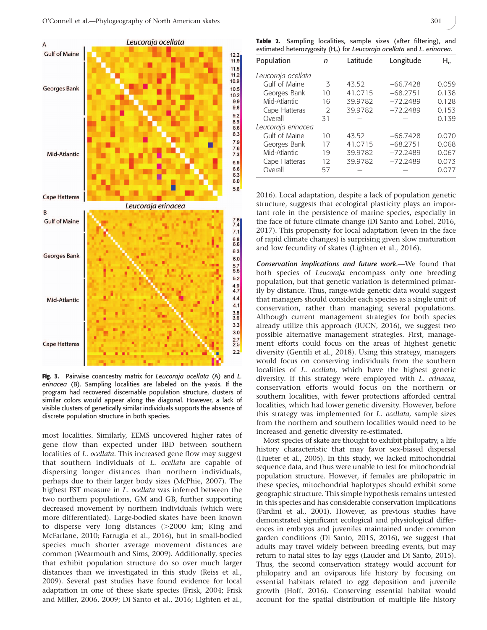

Fig. 3. Pairwise coancestry matrix for Leucoraja ocellata (A) and L. erinacea (B). Sampling localities are labeled on the y-axis. If the program had recovered discernable population structure, clusters of similar colors would appear along the diagonal. However, a lack of visible clusters of genetically similar individuals supports the absence of discrete population structure in both species.

most localities. Similarly, EEMS uncovered higher rates of gene flow than expected under IBD between southern localities of L. ocellata. This increased gene flow may suggest that southern individuals of L. ocellata are capable of dispersing longer distances than northern individuals, perhaps due to their larger body sizes (McPhie, 2007). The highest FST measure in L. ocellata was inferred between the two northern populations, GM and GB, further supporting decreased movement by northern individuals (which were more differentiated). Large-bodied skates have been known to disperse very long distances  $(>2000 \text{ km})$ ; King and McFarlane, 2010; Farrugia et al., 2016), but in small-bodied species much shorter average movement distances are common (Wearmouth and Sims, 2009). Additionally, species that exhibit population structure do so over much larger distances than we investigated in this study (Reiss et al., 2009). Several past studies have found evidence for local adaptation in one of these skate species (Frisk, 2004; Frisk and Miller, 2006, 2009; Di Santo et al., 2016; Lighten et al.,

|  | Table 2. Sampling localities, sample sizes (after filtering), and                  |  |  |  |
|--|------------------------------------------------------------------------------------|--|--|--|
|  | estimated heterozygosity (H <sub>e</sub> ) for Leucoraja ocellata and L. erinacea. |  |  |  |

| Population         | n             | Latitude | Longitude  | H۵    |
|--------------------|---------------|----------|------------|-------|
| Leucoraja ocellata |               |          |            |       |
| Gulf of Maine      | 3             | 43.52    | $-66.7428$ | 0.059 |
| Georges Bank       | 10            | 41.0715  | $-68.2751$ | 0.138 |
| Mid-Atlantic       | 16            | 39.9782  | $-72.2489$ | 0.128 |
| Cape Hatteras      | $\mathcal{P}$ | 39.9782  | $-72.2489$ | 0.153 |
| Overall            | 31            |          |            | 0.139 |
| Leucoraja erinacea |               |          |            |       |
| Gulf of Maine      | 10            | 43.52    | $-66.7428$ | 0.070 |
| Georges Bank       | 17            | 41.0715  | $-68.2751$ | 0.068 |
| Mid-Atlantic       | 19            | 39.9782  | $-72.2489$ | 0.067 |
| Cape Hatteras      | 12            | 39.9782  | $-72.2489$ | 0.073 |
| Overall            | 57            |          |            | 0.077 |

2016). Local adaptation, despite a lack of population genetic structure, suggests that ecological plasticity plays an important role in the persistence of marine species, especially in the face of future climate change (Di Santo and Lobel, 2016, 2017). This propensity for local adaptation (even in the face of rapid climate changes) is surprising given slow maturation and low fecundity of skates (Lighten et al., 2016).

Conservation implications and future work.—We found that both species of Leucoraja encompass only one breeding population, but that genetic variation is determined primarily by distance. Thus, range-wide genetic data would suggest that managers should consider each species as a single unit of conservation, rather than managing several populations. Although current management strategies for both species already utilize this approach (IUCN, 2016), we suggest two possible alternative management strategies. First, management efforts could focus on the areas of highest genetic diversity (Gentili et al., 2018). Using this strategy, managers would focus on conserving individuals from the southern localities of L. ocellata, which have the highest genetic diversity. If this strategy were employed with L. erinacea, conservation efforts would focus on the northern or southern localities, with fewer protections afforded central localities, which had lower genetic diversity. However, before this strategy was implemented for L. ocellata, sample sizes from the northern and southern localities would need to be increased and genetic diversity re-estimated.

Most species of skate are thought to exhibit philopatry, a life history characteristic that may favor sex-biased dispersal (Hueter et al., 2005). In this study, we lacked mitochondrial sequence data, and thus were unable to test for mitochondrial population structure. However, if females are philopatric in these species, mitochondrial haplotypes should exhibit some geographic structure. This simple hypothesis remains untested in this species and has considerable conservation implications (Pardini et al., 2001). However, as previous studies have demonstrated significant ecological and physiological differences in embryos and juveniles maintained under common garden conditions (Di Santo, 2015, 2016), we suggest that adults may travel widely between breeding events, but may return to natal sites to lay eggs (Lauder and Di Santo, 2015). Thus, the second conservation strategy would account for philopatry and an oviparous life history by focusing on essential habitats related to egg deposition and juvenile growth (Hoff, 2016). Conserving essential habitat would account for the spatial distribution of multiple life history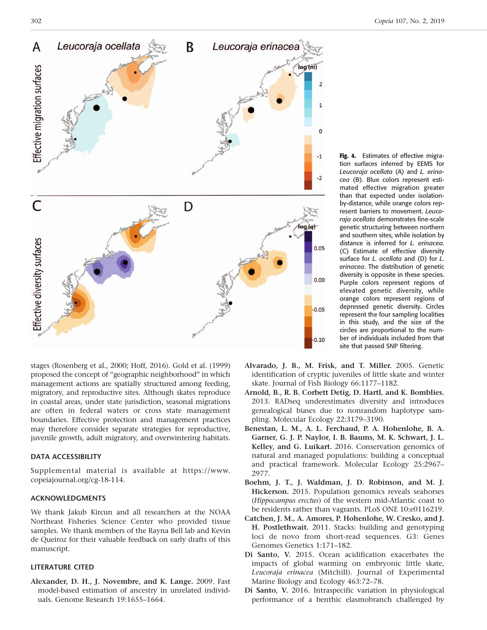

stages (Rosenberg et al., 2000; Hoff, 2016). Gold et al. (1999) proposed the concept of ''geographic neighborhood'' in which management actions are spatially structured among feeding, migratory, and reproductive sites. Although skates reproduce in coastal areas, under state jurisdiction, seasonal migrations are often in federal waters or cross state management boundaries. Effective protection and management practices may therefore consider separate strategies for reproductive, juvenile growth, adult migratory, and overwintering habitats.

#### DATA ACCESSIBILITY

Supplemental material is available at https://www. copeiajournal.org/cg-18-114.

## ACKNOWLEDGMENTS

We thank Jakub Kircun and all researchers at the NOAA Northeast Fisheries Science Center who provided tissue samples. We thank members of the Rayna Bell lab and Kevin de Queiroz for their valuable feedback on early drafts of this manuscript.

#### LITERATURE CITED

Alexander, D. H., J. Novembre, and K. Lange. 2009. Fast model-based estimation of ancestry in unrelated individuals. Genome Research 19:1655–1664.

Fig. 4. Estimates of effective migration surfaces inferred by EEMS for Leucoraja ocellata (A) and L. erinacea (B). Blue colors represent estimated effective migration greater than that expected under isolationby-distance, while orange colors represent barriers to movement. Leucoraja ocellata demonstrates fine-scale genetic structuring between northern and southern sites, while isolation by distance is inferred for L. erinacea. (C) Estimate of effective diversity surface for *L. ocellata* and (D) for *L.* erinacea. The distribution of genetic diversity is opposite in these species. Purple colors represent regions of elevated genetic diversity, while orange colors represent regions of depressed genetic diversity. Circles represent the four sampling localities in this study, and the size of the circles are proportional to the number of individuals included from that site that passed SNP filtering.

- Alvarado, J. B., M. Frisk, and T. Miller. 2005. Genetic identification of cryptic juveniles of little skate and winter skate. Journal of Fish Biology 66:1177–1182.
- Arnold, B., R. B. Corbett Detig, D. Hartl, and K. Bomblies. 2013. RADseq underestimates diversity and introduces genealogical biases due to nonrandom haplotype sampling. Molecular Ecology 22:3179–3190.
- Benestan, L. M., A. L. Ferchaud, P. A. Hohenlohe, B. A. Garner, G. J. P. Naylor, I. B. Baums, M. K. Schwart, J. L. Kelley, and G. Luikart. 2016. Conservation genomics of natural and managed populations: building a conceptual and practical framework. Molecular Ecology 25:2967– 2977.
- Boehm, J. T., J. Waldman, J. D. Robinson, and M. J. Hickerson. 2015. Population genomics reveals seahorses (Hippocampus erectus) of the western mid-Atlantic coast to be residents rather than vagrants. PLoS ONE 10:e0116219.
- Catchen, J. M., A. Amores, P. Hohenlohe, W. Cresko, and J. H. Postlethwait. 2011. Stacks: building and genotyping loci de novo from short-read sequences. G3: Genes Genomes Genetics 1:171–182.
- Di Santo, V. 2015. Ocean acidification exacerbates the impacts of global warming on embryonic little skate, Leucoraja erinacea (Mitchill). Journal of Experimental Marine Biology and Ecology 463:72–78.
- Di Santo, V. 2016. Intraspecific variation in physiological performance of a benthic elasmobranch challenged by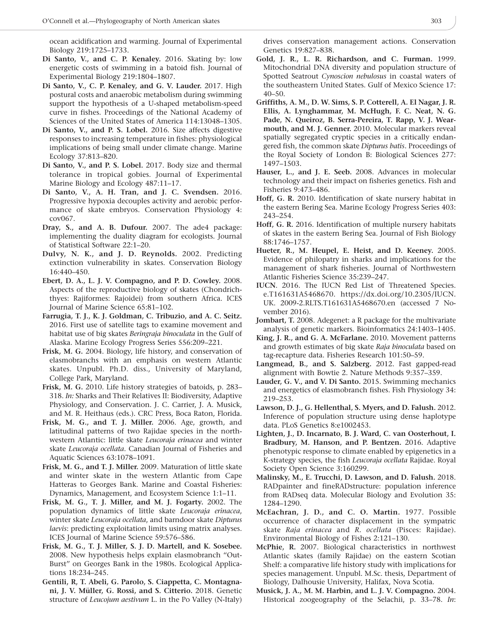ocean acidification and warming. Journal of Experimental Biology 219:1725–1733.

- Di Santo, V., and C. P. Kenaley. 2016. Skating by: low energetic costs of swimming in a batoid fish. Journal of Experimental Biology 219:1804–1807.
- Di Santo, V., C. P. Kenaley, and G. V. Lauder. 2017. High postural costs and anaerobic metabolism during swimming support the hypothesis of a U-shaped metabolism-speed curve in fishes. Proceedings of the National Academy of Sciences of the United States of America 114:13048–1305.
- Di Santo, V., and P. S. Lobel. 2016. Size affects digestive responses to increasing temperature in fishes: physiological implications of being small under climate change. Marine Ecology 37:813–820.
- Di Santo, V., and P. S. Lobel. 2017. Body size and thermal tolerance in tropical gobies. Journal of Experimental Marine Biology and Ecology 487:11–17.
- Di Santo, V., A. H. Tran, and J. C. Svendsen. 2016. Progressive hypoxia decouples activity and aerobic performance of skate embryos. Conservation Physiology 4: cov067.
- Dray, S., and A. B. Dufour. 2007. The ade4 package: implementing the duality diagram for ecologists. Journal of Statistical Software 22:1–20.
- Dulvy, N. K., and J. D. Reynolds. 2002. Predicting extinction vulnerability in skates. Conservation Biology 16:440–450.
- Ebert, D. A., L. J. V. Compagno, and P. D. Cowley. 2008. Aspects of the reproductive biology of skates (Chondrichthyes: Rajiformes: Rajoidei) from southern Africa. ICES Journal of Marine Science 65:81–102.
- Farrugia, T. J., K. J. Goldman, C. Tribuzio, and A. C. Seitz. 2016. First use of satellite tags to examine movement and habitat use of big skates Beringraja binoculata in the Gulf of Alaska. Marine Ecology Progress Series 556:209–221.
- Frisk, M. G. 2004. Biology, life history, and conservation of elasmobranchs with an emphasis on western Atlantic skates. Unpubl. Ph.D. diss., University of Maryland, College Park, Maryland.
- Frisk, M. G. 2010. Life history strategies of batoids, p. 283– 318. In: Sharks and Their Relatives II: Biodiversity, Adaptive Physiology, and Conservation. J. C. Carrier, J. A. Musick, and M. R. Heithaus (eds.). CRC Press, Boca Raton, Florida.
- Frisk, M. G., and T. J. Miller. 2006. Age, growth, and latitudinal patterns of two Rajidae species in the northwestern Atlantic: little skate Leucoraja erinacea and winter skate Leucoraja ocellata. Canadian Journal of Fisheries and Aquatic Sciences 63:1078–1091.
- Frisk, M. G., and T. J. Miller. 2009. Maturation of little skate and winter skate in the western Atlantic from Cape Hatteras to Georges Bank. Marine and Coastal Fisheries: Dynamics, Management, and Ecosystem Science 1:1–11.
- Frisk, M. G., T. J. Miller, and M. J. Fogarty. 2002. The population dynamics of little skate Leucoraja erinacea, winter skate Leucoraja ocellata, and barndoor skate Dipturus laevis: predicting exploitation limits using matrix analyses. ICES Journal of Marine Science 59:576–586.
- Frisk, M. G., T. J. Miller, S. J. D. Martell, and K. Sosebee. 2008. New hypothesis helps explain elasmobranch ''Out-Burst'' on Georges Bank in the 1980s. Ecological Applications 18:234–245.
- Gentili, R, T. Abeli, G. Parolo, S. Ciappetta, C. Montagnani, J. V. Müller, G. Rossi, and S. Citterio. 2018. Genetic structure of Leucojum aestivum L. in the Po Valley (N-Italy)

drives conservation management actions. Conservation Genetics 19:827–838.

- Gold, J. R., L. R. Richardson, and C. Furman. 1999. Mitochondrial DNA diversity and population structure of Spotted Seatrout Cynoscion nebulosus in coastal waters of the southeastern United States. Gulf of Mexico Science 17: 40–50.
- Griffiths, A. M., D. W. Sims, S. P. Cotterell, A. El Nagar, J. R. Ellis, A. Lynghammar, M. McHugh, F. C. Neat, N. G. Pade, N. Queiroz, B. Serra-Pereira, T. Rapp, V. J. Wearmouth, and M. J. Genner. 2010. Molecular markers reveal spatially segregated cryptic species in a critically endangered fish, the common skate Dipturus batis. Proceedings of the Royal Society of London B: Biological Sciences 277: 1497–1503.
- Hauser, L., and J. E. Seeb. 2008. Advances in molecular technology and their impact on fisheries genetics. Fish and Fisheries 9:473–486.
- Hoff, G. R. 2010. Identification of skate nursery habitat in the eastern Bering Sea. Marine Ecology Progress Series 403: 243–254.
- Hoff, G. R. 2016. Identification of multiple nursery habitats of skates in the eastern Bering Sea. Journal of Fish Biology 88:1746–1757.
- Hueter, R., M. Heupel, E. Heist, and D. Keeney. 2005. Evidence of philopatry in sharks and implications for the management of shark fisheries. Journal of Northwestern Atlantic Fisheries Science 35:239–247.
- IUCN. 2016. The IUCN Red List of Threatened Species. e.T161631A5468670. https://dx.doi.org/10.2305/IUCN. UK. 2009-2.RLTS.T161631A5468670.en (accessed 7 November 2016).
- Jombart, T. 2008. Adegenet: a R package for the multivariate analysis of genetic markers. Bioinformatics 24:1403–1405.
- King, J. R., and G. A. McFarlane. 2010. Movement patterns and growth estimates of big skate Raja binoculata based on tag-recapture data. Fisheries Research 101:50–59.
- Langmead, B., and S. Salzberg. 2012. Fast gapped-read alignment with Bowtie 2. Nature Methods 9:357–359.
- Lauder, G. V., and V. Di Santo. 2015. Swimming mechanics and energetics of elasmobranch fishes. Fish Physiology 34: 219–253.
- Lawson, D. J., G. Hellenthal, S. Myers, and D. Falush. 2012. Inference of population structure using dense haplotype data. PLoS Genetics 8:e1002453.
- Lighten, J., D. Incarnato, B. J. Ward, C. van Oosterhout, I. Bradbury, M. Hanson, and P. Bentzen. 2016. Adaptive phenotypic response to climate enabled by epigenetics in a K-strategy species, the fish Leucoraja ocellata Rajidae. Royal Society Open Science 3:160299.
- Malinsky, M., E. Trucchi, D. Lawson, and D. Falush. 2018. RADpainter and fineRADstructure: population inference from RADseq data. Molecular Biology and Evolution 35: 1284–1290.
- McEachran, J. D., and C. O. Martin. 1977. Possible occurrence of character displacement in the sympatric skate Raja erinacea and R. ocellata (Pisces: Rajidae). Environmental Biology of Fishes 2:121–130.
- McPhie, R. 2007. Biological characteristics in northwest Atlantic skates (family Rajidae) on the eastern Scotian Shelf: a comparative life history study with implications for species management. Unpubl. M.Sc. thesis, Department of Biology, Dalhousie University, Halifax, Nova Scotia.
- Musick, J. A., M. M. Harbin, and L. J. V. Compagno. 2004. Historical zoogeography of the Selachii, p. 33–78. In: